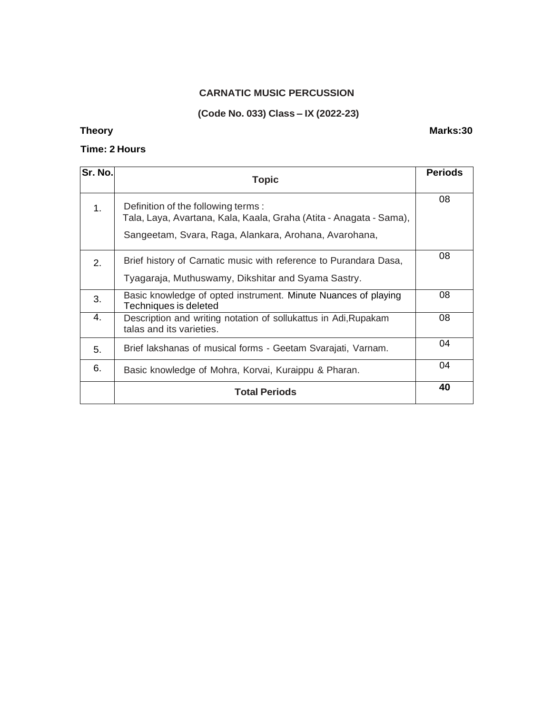### **CARNATIC MUSIC PERCUSSION**

### **(Code No. 033) Class – IX (2022-23)**

### **Time: 2 Hours**

# **Sr. No. Topic Periods** 1. **Definition of the following terms :** Tala, Laya, Avartana, Kala, Kaala, Graha (Atita - Anagata - Sama), Sangeetam, Svara, Raga, Alankara, Arohana, Avarohana, 08 2. | Brief history of Carnatic music with reference to Purandara Dasa, Tyagaraja, Muthuswamy, Dikshitar and Syama Sastry. 08 3. Basic knowledge of opted instrument. Minute Nuances of playing Techniques is deleted 08 4. Description and writing notation of sollukattus in Adi,Rupakam talas and its varieties. 08 5. Brief lakshanas of musical forms - Geetam Svarajati, Varnam. 6. Basic knowledge of Mohra, Korvai, Kuraippu & Pharan. 04 **Total Periods <sup>40</sup>**

### **Theory Marks:30**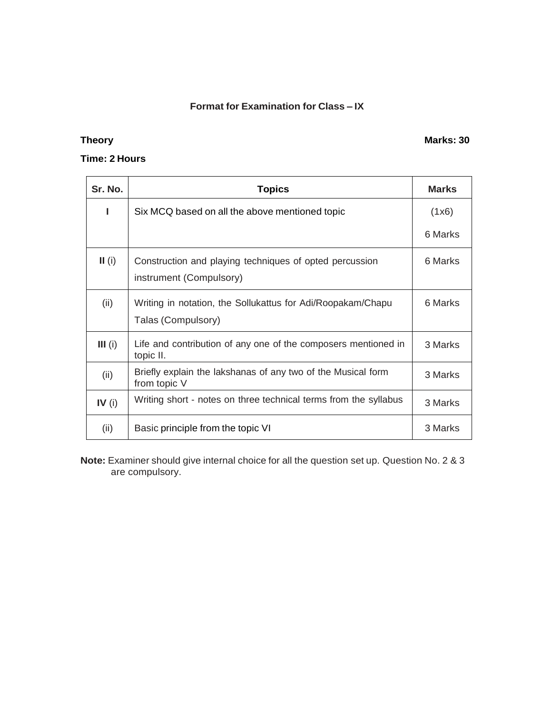# **Format for Examination for Class – IX**

# **Theory Marks: 30**

## **Time: 2 Hours**

| Sr. No.   | <b>Topics</b>                                                                      | <b>Marks</b> |
|-----------|------------------------------------------------------------------------------------|--------------|
| ı         | Six MCQ based on all the above mentioned topic                                     | (1x6)        |
|           |                                                                                    | 6 Marks      |
| II(i)     | Construction and playing techniques of opted percussion<br>instrument (Compulsory) | 6 Marks      |
| (ii)      | Writing in notation, the Sollukattus for Adi/Roopakam/Chapu<br>Talas (Compulsory)  | 6 Marks      |
| $III$ (i) | Life and contribution of any one of the composers mentioned in<br>topic II.        | 3 Marks      |
| (ii)      | Briefly explain the lakshanas of any two of the Musical form<br>from topic V       | 3 Marks      |
| IV $(i)$  | Writing short - notes on three technical terms from the syllabus                   | 3 Marks      |
| (ii)      | Basic principle from the topic VI                                                  | 3 Marks      |

**Note:** Examiner should give internal choice for all the question set up. Question No. 2 & 3 are compulsory.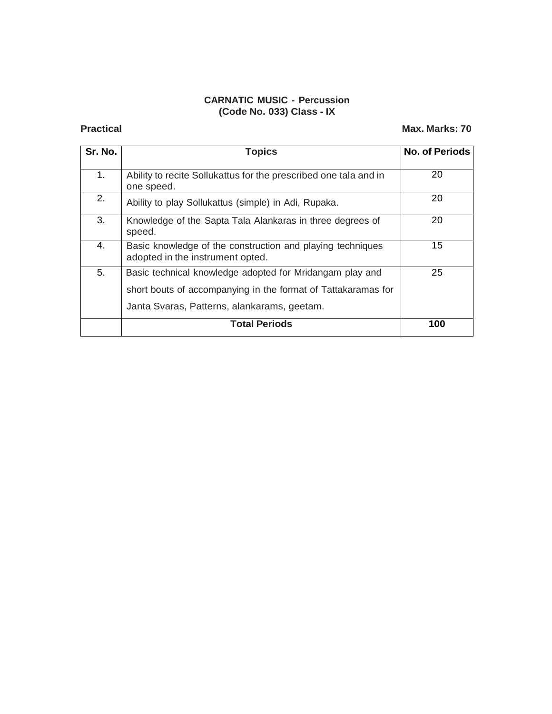# **CARNATIC MUSIC - Percussion (Code No. 033) Class - IX**

## **Practical Max. Marks: 70**

| Sr. No. | <b>Topics</b>                                                                                                                                                            | <b>No. of Periods</b> |
|---------|--------------------------------------------------------------------------------------------------------------------------------------------------------------------------|-----------------------|
| 1.      | Ability to recite Sollukattus for the prescribed one tala and in<br>one speed.                                                                                           | 20                    |
| 2.      | Ability to play Sollukattus (simple) in Adi, Rupaka.                                                                                                                     | 20                    |
| 3.      | Knowledge of the Sapta Tala Alankaras in three degrees of<br>speed.                                                                                                      | 20                    |
| 4.      | Basic knowledge of the construction and playing techniques<br>adopted in the instrument opted.                                                                           | 15                    |
| 5.      | Basic technical knowledge adopted for Mridangam play and<br>short bouts of accompanying in the format of Tattakaramas for<br>Janta Svaras, Patterns, alankarams, geetam. | 25                    |
|         | <b>Total Periods</b>                                                                                                                                                     | 100                   |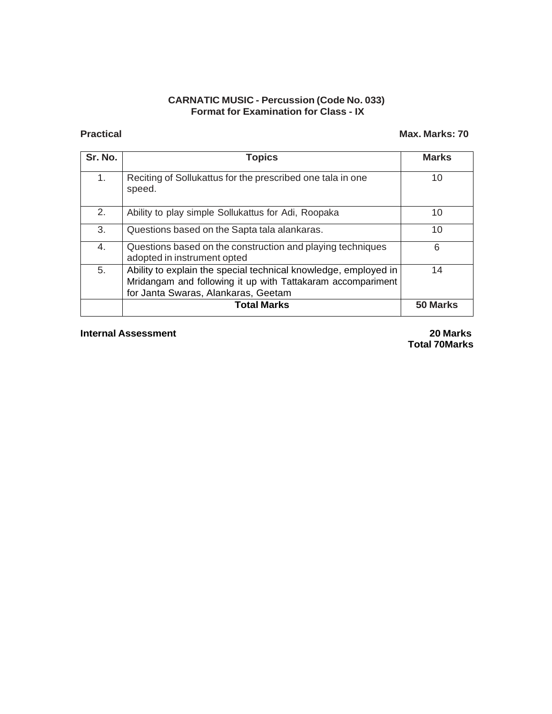### **CARNATIC MUSIC - Percussion (Code No. 033) Format for Examination for Class - IX**

## **Practical Max. Marks: 70**

| Sr. No. | <b>Topics</b>                                                                                                                                                         | <b>Marks</b> |
|---------|-----------------------------------------------------------------------------------------------------------------------------------------------------------------------|--------------|
| 1.      | Reciting of Sollukattus for the prescribed one tala in one<br>speed.                                                                                                  | 10           |
| 2.      | Ability to play simple Sollukattus for Adi, Roopaka                                                                                                                   | 10           |
| 3.      | Questions based on the Sapta tala alankaras.                                                                                                                          | 10           |
| 4.      | Questions based on the construction and playing techniques<br>adopted in instrument opted                                                                             | 6            |
| 5.      | Ability to explain the special technical knowledge, employed in<br>Mridangam and following it up with Tattakaram accompariment<br>for Janta Swaras, Alankaras, Geetam | 14           |
|         | <b>Total Marks</b>                                                                                                                                                    | 50 Marks     |

**Internal Assessment 20 Marks**

**Total 70Marks**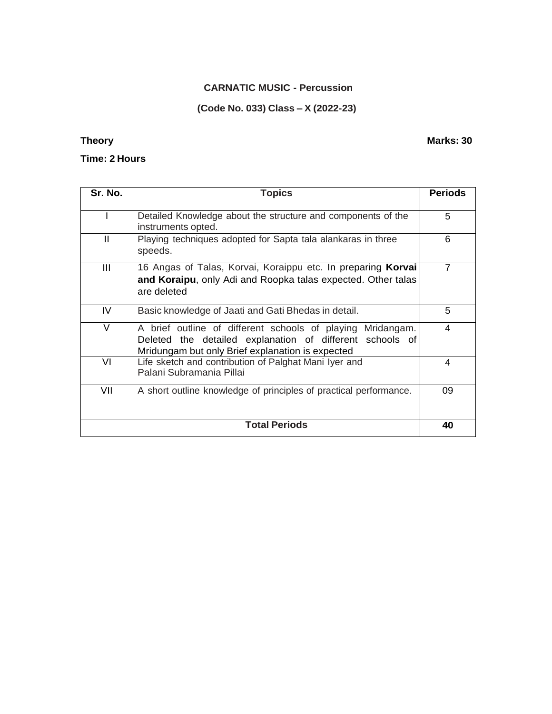### **CARNATIC MUSIC - Percussion**

### **(Code No. 033) Class – X (2022-23)**

### **Time: 2 Hours**

**Sr. No. Topics Periods** I Detailed Knowledge about the structure and components of the instruments opted. 5 II Playing techniques adopted for Sapta tala alankaras in three speeds. 6 III 16 Angas of Talas, Korvai, Koraippu etc. In preparing **Korvai and Koraipu**, only Adi and Roopka talas expected. Other talas are deleted 7 IV Basic knowledge of Jaati and Gati Bhedas in detail. 5 V A brief outline of different schools of playing Mridangam. Deleted the detailed explanation of different schools of Mridungam but only Brief explanation is expected 4 VI Life sketch and contribution of Palghat Mani Iyer and Palani Subramania Pillai 4 VII | A short outline knowledge of principles of practical performance. | 09 **Total Periods 40**

### **Theory Marks: 30**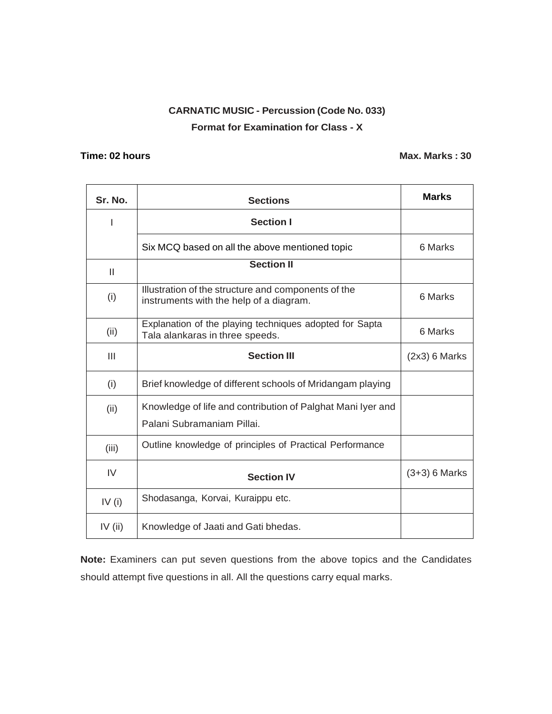# **CARNATIC MUSIC - Percussion (Code No. 033) Format for Examination for Class - X**

### **Time:** 02 hours **Max.** Marks : 30

| Sr. No.      | <b>Sections</b>                                                                                | <b>Marks</b>    |
|--------------|------------------------------------------------------------------------------------------------|-----------------|
|              | <b>Section I</b>                                                                               |                 |
|              | Six MCQ based on all the above mentioned topic                                                 | 6 Marks         |
| $\mathbf{I}$ | <b>Section II</b>                                                                              |                 |
| (i)          | Illustration of the structure and components of the<br>instruments with the help of a diagram. | 6 Marks         |
| (ii)         | Explanation of the playing techniques adopted for Sapta<br>Tala alankaras in three speeds.     | 6 Marks         |
| III          | <b>Section III</b>                                                                             | $(2x3)$ 6 Marks |
| (i)          | Brief knowledge of different schools of Mridangam playing                                      |                 |
| (ii)         | Knowledge of life and contribution of Palghat Mani Iyer and<br>Palani Subramaniam Pillai.      |                 |
| (iii)        | Outline knowledge of principles of Practical Performance                                       |                 |
| IV           | <b>Section IV</b>                                                                              | $(3+3)$ 6 Marks |
| IV $(i)$     | Shodasanga, Korvai, Kuraippu etc.                                                              |                 |
| IV $(ii)$    | Knowledge of Jaati and Gati bhedas.                                                            |                 |

**Note:** Examiners can put seven questions from the above topics and the Candidates should attempt five questions in all. All the questions carry equal marks.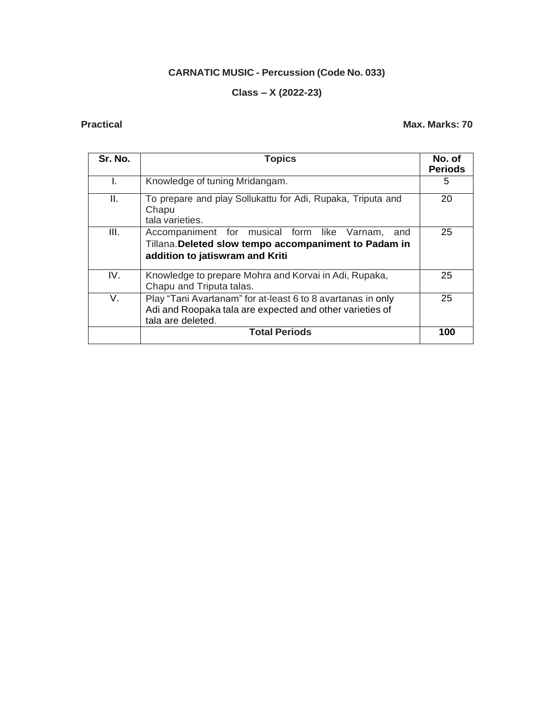# **CARNATIC MUSIC - Percussion (Code No. 033)**

# **Class – X (2022-23)**

**Practical Max. Marks: 70**

| Sr. No. | <b>Topics</b>                                                                                                                                  | No. of<br><b>Periods</b> |
|---------|------------------------------------------------------------------------------------------------------------------------------------------------|--------------------------|
| L.      | Knowledge of tuning Mridangam.                                                                                                                 | 5                        |
| Ш.      | To prepare and play Sollukattu for Adi, Rupaka, Triputa and<br>Chapu<br>tala varieties.                                                        | 20                       |
| III.    | Accompaniment for musical form like Varnam,<br>and<br>Tillana. Deleted slow tempo accompaniment to Padam in<br>addition to jatiswram and Kriti | 25                       |
| IV.     | Knowledge to prepare Mohra and Korvai in Adi, Rupaka,<br>Chapu and Triputa talas.                                                              | 25                       |
| V.      | Play "Tani Avartanam" for at-least 6 to 8 avartanas in only<br>Adi and Roopaka tala are expected and other varieties of<br>tala are deleted.   | 25                       |
|         | <b>Total Periods</b>                                                                                                                           | 100                      |